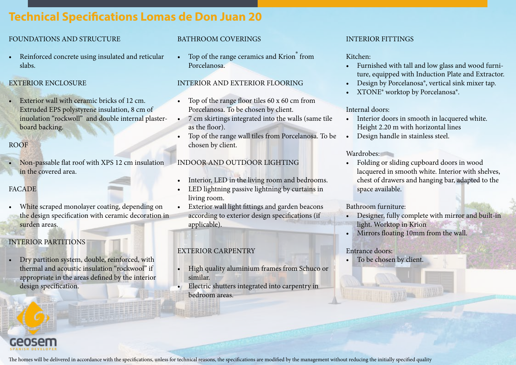# **Technical Specifications Lomas de Don Juan 20**

# FOUNDATIONS AND STRUCTURE

• Reinforced concrete using insulated and reticular slabs.

## EXTERIOR ENCLOSURE

• Exterior wall with ceramic bricks of 12 cm. Extruded EPS polystyrene insulation, 8 cm of inuolation "rockwoll" and double internal plasterboard backing.

## ROOF

• Non-passable flat roof with XPS 12 cm insulation in the covered area.

# FACADE

White scraped monolayer coating, depending on the design specification with ceramic decoration in surden areas.

# INTERIOR PARTITIONS

• Dry partition system, double, reinforced, with thermal and acoustic insulation "rockwool" if appropriate in the areas defined by the interior design specification.



• Top of the range ceramics and Krion<sup>®</sup> from Porcelanosa.

## INTERIOR AND EXTERIOR FLOORING

- Top of the range floor tiles 60 x 60 cm from Porcelanosa. To be chosen by client.
- 7 cm skirtings integrated into the walls (same tile as the floor).
- Top of the range wall tiles from Porcelanosa. To be chosen by client.

# INDOOR AND OUTDOOR LIGHTING

- Interior, LED in the living room and bedrooms.
- LED lightning passive lightning by curtains in living room.
- Exterior wall light fittings and garden beacons according to exterior design specifications (if applicable).

# EXTERIOR CARPENTRY

- High quality aluminium frames from Schuco or similar.
- Electric shutters integrated into carpentry in bedroom areas.

## INTERIOR FITTINGS

### Kitchen:

- Furnished with tall and low glass and wood furniture, equipped with Induction Plate and Extractor.
- Design by Porcelanosa®, vertical sink mixer tap.
- XTONE<sup>®</sup> worktop by Porcelanosa<sup>®</sup>.

#### Internal doors:

- Interior doors in smooth in lacquered white. Height 2.20 m with horizontal lines
- Design handle in stainless steel.

#### Wardrobes:

• Folding or sliding cupboard doors in wood lacquered in smooth white. Interior with shelves, chest of drawers and hanging bar, adapted to the space available.

#### Bathroom furniture:

- Designer, fully complete with mirror and built-in light. Worktop in Krion
- Mirrors floating 10mm from the wall.

## Entrance doors:

• To be chosen by client.

The homes will be delivered in accordance with the specifications, unless for technical reasons, the specifications are modified by the management without reducing the initially specified quality